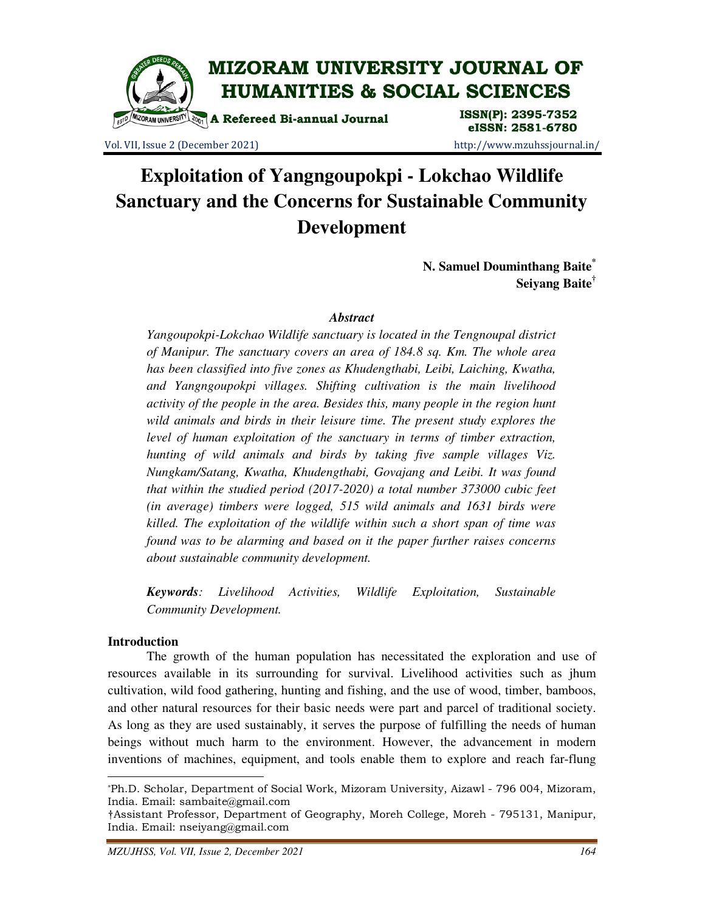

Vol. VII, Issue 2 (December 2021) http://www.mzuhssjournal.in/

eISSN: 2581-6780

# **Exploitation of Yangngoupokpi - Lokchao Wildlife Sanctuary and the Concerns for Sustainable Community Development**

**N. Samuel Douminthang Baite\* Seiyang Baite†**

## *Abstract*

*Yangoupokpi-Lokchao Wildlife sanctuary is located in the Tengnoupal district of Manipur. The sanctuary covers an area of 184.8 sq. Km. The whole area has been classified into five zones as Khudengthabi, Leibi, Laiching, Kwatha, and Yangngoupokpi villages. Shifting cultivation is the main livelihood activity of the people in the area. Besides this, many people in the region hunt wild animals and birds in their leisure time. The present study explores the level of human exploitation of the sanctuary in terms of timber extraction, hunting of wild animals and birds by taking five sample villages Viz. Nungkam/Satang, Kwatha, Khudengthabi, Govajang and Leibi. It was found that within the studied period (2017-2020) a total number 373000 cubic feet (in average) timbers were logged, 515 wild animals and 1631 birds were killed. The exploitation of the wildlife within such a short span of time was found was to be alarming and based on it the paper further raises concerns about sustainable community development.* 

*Keywords: Livelihood Activities, Wildlife Exploitation, Sustainable Community Development.* 

## **Introduction**

 $\overline{a}$ 

 The growth of the human population has necessitated the exploration and use of resources available in its surrounding for survival. Livelihood activities such as jhum cultivation, wild food gathering, hunting and fishing, and the use of wood, timber, bamboos, and other natural resources for their basic needs were part and parcel of traditional society. As long as they are used sustainably, it serves the purpose of fulfilling the needs of human beings without much harm to the environment. However, the advancement in modern inventions of machines, equipment, and tools enable them to explore and reach far-flung

<sup>\*</sup>Ph.D. Scholar, Department of Social Work, Mizoram University, Aizawl - 796 004, Mizoram, India. Email: sambaite@gmail.com

<sup>†</sup>Assistant Professor, Department of Geography, Moreh College, Moreh - 795131, Manipur, India. Email: nseiyang@gmail.com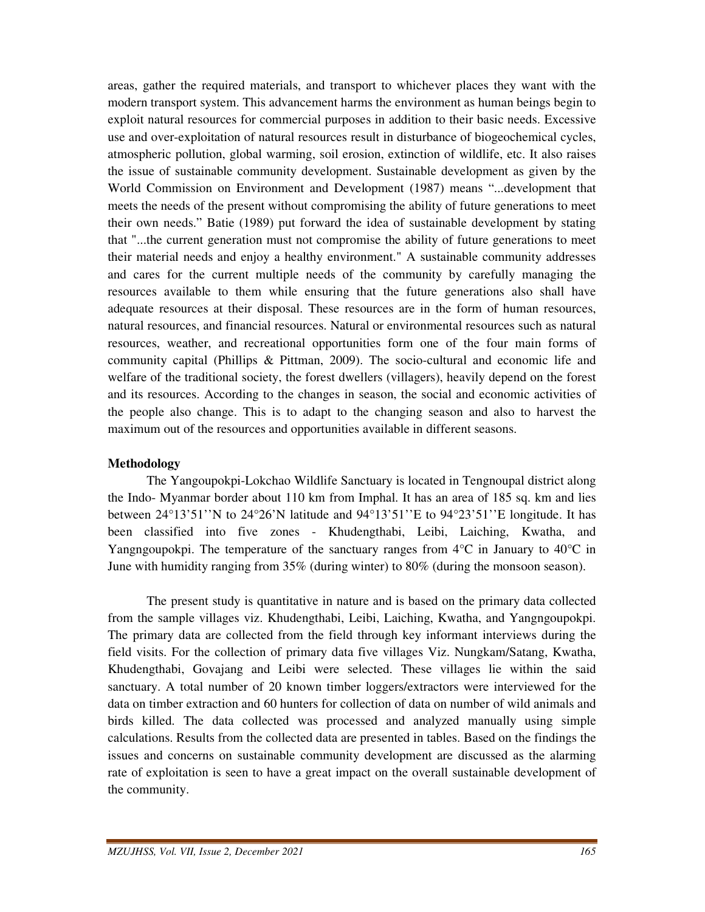areas, gather the required materials, and transport to whichever places they want with the modern transport system. This advancement harms the environment as human beings begin to exploit natural resources for commercial purposes in addition to their basic needs. Excessive use and over-exploitation of natural resources result in disturbance of biogeochemical cycles, atmospheric pollution, global warming, soil erosion, extinction of wildlife, etc. It also raises the issue of sustainable community development. Sustainable development as given by the World Commission on Environment and Development (1987) means "...development that meets the needs of the present without compromising the ability of future generations to meet their own needs." Batie (1989) put forward the idea of sustainable development by stating that "...the current generation must not compromise the ability of future generations to meet their material needs and enjoy a healthy environment." A sustainable community addresses and cares for the current multiple needs of the community by carefully managing the resources available to them while ensuring that the future generations also shall have adequate resources at their disposal. These resources are in the form of human resources, natural resources, and financial resources. Natural or environmental resources such as natural resources, weather, and recreational opportunities form one of the four main forms of community capital (Phillips & Pittman, 2009). The socio-cultural and economic life and welfare of the traditional society, the forest dwellers (villagers), heavily depend on the forest and its resources. According to the changes in season, the social and economic activities of the people also change. This is to adapt to the changing season and also to harvest the maximum out of the resources and opportunities available in different seasons.

## **Methodology**

 The Yangoupokpi-Lokchao Wildlife Sanctuary is located in Tengnoupal district along the Indo- Myanmar border about 110 km from Imphal. It has an area of 185 sq. km and lies between 24°13'51''N to 24°26'N latitude and 94°13'51''E to 94°23'51''E longitude. It has been classified into five zones - Khudengthabi, Leibi, Laiching, Kwatha, and Yangngoupokpi. The temperature of the sanctuary ranges from  $4^{\circ}C$  in January to  $40^{\circ}C$  in June with humidity ranging from 35% (during winter) to 80% (during the monsoon season).

 The present study is quantitative in nature and is based on the primary data collected from the sample villages viz. Khudengthabi, Leibi, Laiching, Kwatha, and Yangngoupokpi. The primary data are collected from the field through key informant interviews during the field visits. For the collection of primary data five villages Viz. Nungkam/Satang, Kwatha, Khudengthabi, Govajang and Leibi were selected. These villages lie within the said sanctuary. A total number of 20 known timber loggers/extractors were interviewed for the data on timber extraction and 60 hunters for collection of data on number of wild animals and birds killed. The data collected was processed and analyzed manually using simple calculations. Results from the collected data are presented in tables. Based on the findings the issues and concerns on sustainable community development are discussed as the alarming rate of exploitation is seen to have a great impact on the overall sustainable development of the community.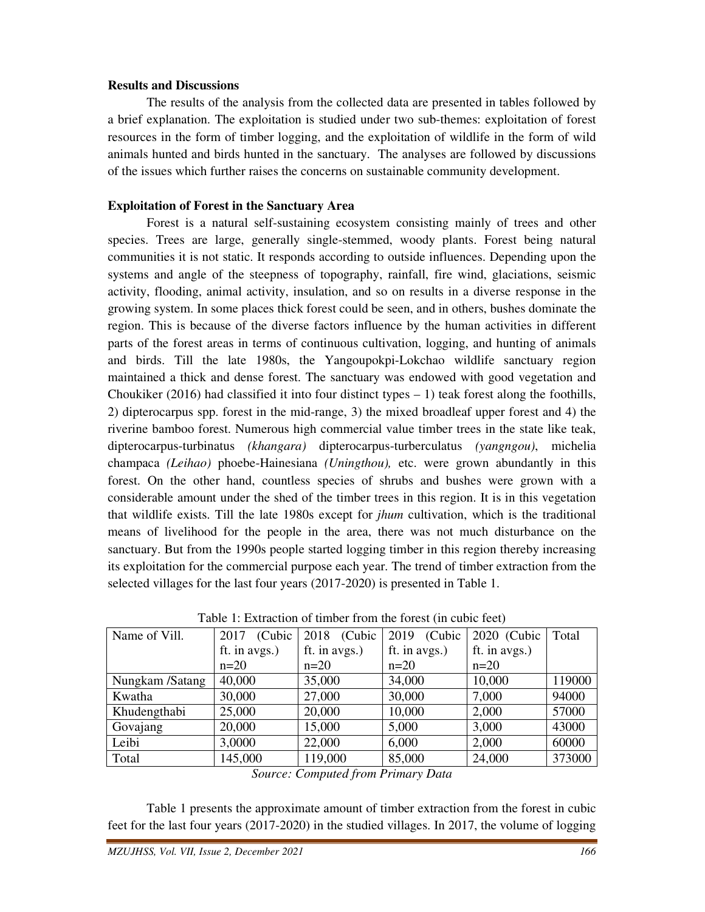## **Results and Discussions**

 The results of the analysis from the collected data are presented in tables followed by a brief explanation. The exploitation is studied under two sub-themes: exploitation of forest resources in the form of timber logging, and the exploitation of wildlife in the form of wild animals hunted and birds hunted in the sanctuary. The analyses are followed by discussions of the issues which further raises the concerns on sustainable community development.

# **Exploitation of Forest in the Sanctuary Area**

 Forest is a natural self-sustaining ecosystem consisting mainly of trees and other species. Trees are large, generally single-stemmed, woody plants. Forest being natural communities it is not static. It responds according to outside influences. Depending upon the systems and angle of the steepness of topography, rainfall, fire wind, glaciations, seismic activity, flooding, animal activity, insulation, and so on results in a diverse response in the growing system. In some places thick forest could be seen, and in others, bushes dominate the region. This is because of the diverse factors influence by the human activities in different parts of the forest areas in terms of continuous cultivation, logging, and hunting of animals and birds. Till the late 1980s, the Yangoupokpi-Lokchao wildlife sanctuary region maintained a thick and dense forest. The sanctuary was endowed with good vegetation and Choukiker (2016) had classified it into four distinct types  $-1$ ) teak forest along the foothills, 2) dipterocarpus spp. forest in the mid-range, 3) the mixed broadleaf upper forest and 4) the riverine bamboo forest. Numerous high commercial value timber trees in the state like teak, dipterocarpus-turbinatus *(khangara)* dipterocarpus-turberculatus *(yangngou)*, michelia champaca *(Leihao)* phoebe-Hainesiana *(Uningthou),* etc. were grown abundantly in this forest. On the other hand, countless species of shrubs and bushes were grown with a considerable amount under the shed of the timber trees in this region. It is in this vegetation that wildlife exists. Till the late 1980s except for *jhum* cultivation, which is the traditional means of livelihood for the people in the area, there was not much disturbance on the sanctuary. But from the 1990s people started logging timber in this region thereby increasing its exploitation for the commercial purpose each year. The trend of timber extraction from the selected villages for the last four years (2017-2020) is presented in Table 1.

| Name of Vill.   | (Cubic<br>2017 | (Cubic<br>2018 | 2019<br>(Cubic | 2020 (Cubic   | Total  |
|-----------------|----------------|----------------|----------------|---------------|--------|
|                 | ft. in avgs.)  | ft. in avgs.)  | ft. in avgs.)  | ft. in avgs.) |        |
|                 | $n=20$         | $n=20$         | $n=20$         | $n=20$        |        |
| Nungkam /Satang | 40,000         | 35,000         | 34,000         | 10,000        | 119000 |
| Kwatha          | 30,000         | 27,000         | 30,000         | 7,000         | 94000  |
| Khudengthabi    | 25,000         | 20,000         | 10,000         | 2,000         | 57000  |
| Govajang        | 20,000         | 15,000         | 5,000          | 3,000         | 43000  |
| Leibi           | 3,0000         | 22,000         | 6,000          | 2,000         | 60000  |
| Total           | 145,000        | 119,000        | 85,000         | 24,000        | 373000 |

Table 1: Extraction of timber from the forest (in cubic feet)

*Source: Computed from Primary Data* 

 Table 1 presents the approximate amount of timber extraction from the forest in cubic feet for the last four years (2017-2020) in the studied villages. In 2017, the volume of logging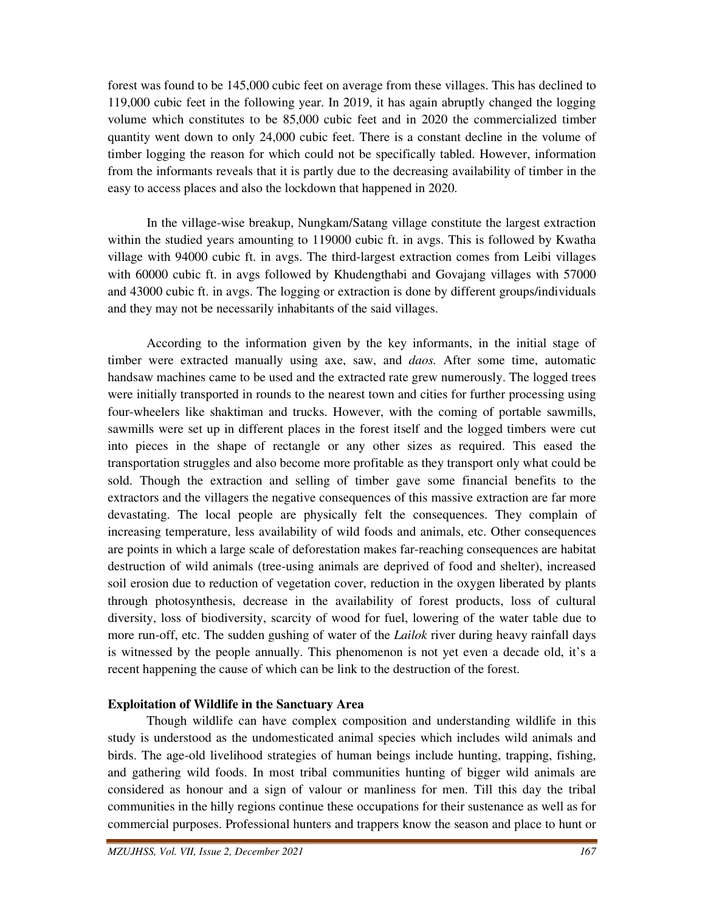forest was found to be 145,000 cubic feet on average from these villages. This has declined to 119,000 cubic feet in the following year. In 2019, it has again abruptly changed the logging volume which constitutes to be 85,000 cubic feet and in 2020 the commercialized timber quantity went down to only 24,000 cubic feet. There is a constant decline in the volume of timber logging the reason for which could not be specifically tabled. However, information from the informants reveals that it is partly due to the decreasing availability of timber in the easy to access places and also the lockdown that happened in 2020.

 In the village-wise breakup, Nungkam/Satang village constitute the largest extraction within the studied years amounting to 119000 cubic ft. in avgs. This is followed by Kwatha village with 94000 cubic ft. in avgs. The third-largest extraction comes from Leibi villages with 60000 cubic ft. in avgs followed by Khudengthabi and Govajang villages with 57000 and 43000 cubic ft. in avgs. The logging or extraction is done by different groups/individuals and they may not be necessarily inhabitants of the said villages.

 According to the information given by the key informants, in the initial stage of timber were extracted manually using axe, saw, and *daos.* After some time, automatic handsaw machines came to be used and the extracted rate grew numerously. The logged trees were initially transported in rounds to the nearest town and cities for further processing using four-wheelers like shaktiman and trucks. However, with the coming of portable sawmills, sawmills were set up in different places in the forest itself and the logged timbers were cut into pieces in the shape of rectangle or any other sizes as required. This eased the transportation struggles and also become more profitable as they transport only what could be sold. Though the extraction and selling of timber gave some financial benefits to the extractors and the villagers the negative consequences of this massive extraction are far more devastating. The local people are physically felt the consequences. They complain of increasing temperature, less availability of wild foods and animals, etc. Other consequences are points in which a large scale of deforestation makes far-reaching consequences are habitat destruction of wild animals (tree-using animals are deprived of food and shelter), increased soil erosion due to reduction of vegetation cover, reduction in the oxygen liberated by plants through photosynthesis, decrease in the availability of forest products, loss of cultural diversity, loss of biodiversity, scarcity of wood for fuel, lowering of the water table due to more run-off, etc. The sudden gushing of water of the *Lailok* river during heavy rainfall days is witnessed by the people annually. This phenomenon is not yet even a decade old, it's a recent happening the cause of which can be link to the destruction of the forest.

## **Exploitation of Wildlife in the Sanctuary Area**

 Though wildlife can have complex composition and understanding wildlife in this study is understood as the undomesticated animal species which includes wild animals and birds. The age-old livelihood strategies of human beings include hunting, trapping, fishing, and gathering wild foods. In most tribal communities hunting of bigger wild animals are considered as honour and a sign of valour or manliness for men. Till this day the tribal communities in the hilly regions continue these occupations for their sustenance as well as for commercial purposes. Professional hunters and trappers know the season and place to hunt or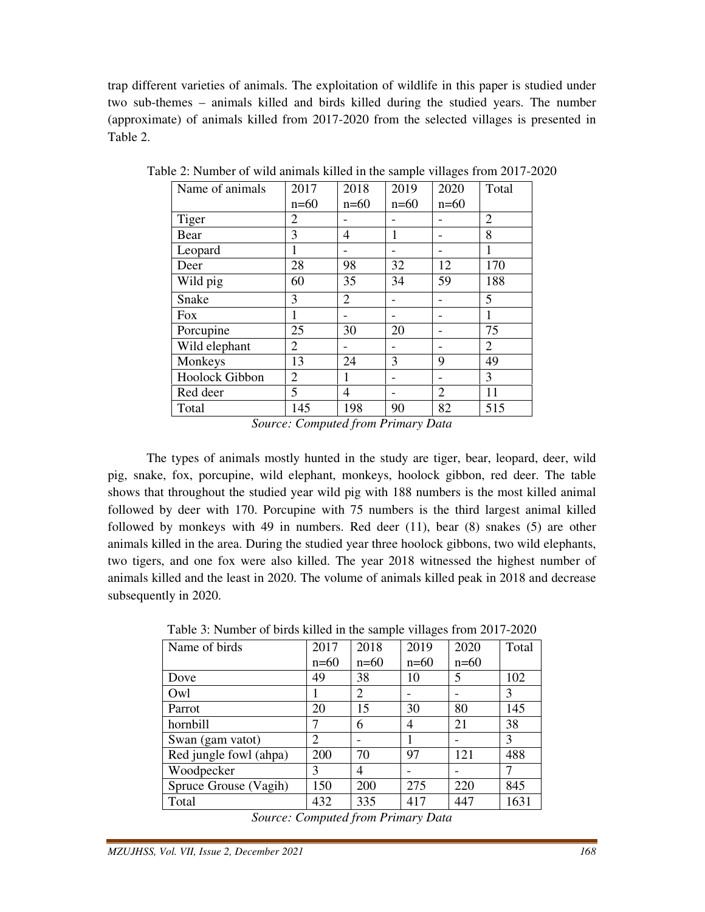trap different varieties of animals. The exploitation of wildlife in this paper is studied under two sub-themes – animals killed and birds killed during the studied years. The number (approximate) of animals killed from 2017-2020 from the selected villages is presented in Table 2.

| Name of animals | 2017           | 2018           | 2019   | 2020   | Total          |
|-----------------|----------------|----------------|--------|--------|----------------|
|                 | $n=60$         | $n=60$         | $n=60$ | $n=60$ |                |
| Tiger           | 2              |                |        |        | $\overline{2}$ |
| Bear            | 3              | 4              | 1      |        | 8              |
| Leopard         | 1              |                |        |        | 1              |
| Deer            | 28             | 98             | 32     | 12     | 170            |
| Wild pig        | 60             | 35             | 34     | 59     | 188            |
| Snake           | 3              | $\overline{2}$ |        |        | 5              |
| <b>Fox</b>      |                |                |        |        | 1              |
| Porcupine       | 25             | 30             | 20     |        | 75             |
| Wild elephant   | 2              |                |        |        | $\overline{2}$ |
| Monkeys         | 13             | 24             | 3      | 9      | 49             |
| Hoolock Gibbon  | $\overline{2}$ | 1              |        |        | 3              |
| Red deer        | 5              | 4              |        | 2      | 11             |
| Total           | 145            | 198            | 90     | 82     | 515            |

Table 2: Number of wild animals killed in the sample villages from 2017-2020

*Source: Computed from Primary Data* 

 The types of animals mostly hunted in the study are tiger, bear, leopard, deer, wild pig, snake, fox, porcupine, wild elephant, monkeys, hoolock gibbon, red deer. The table shows that throughout the studied year wild pig with 188 numbers is the most killed animal followed by deer with 170. Porcupine with 75 numbers is the third largest animal killed followed by monkeys with 49 in numbers. Red deer (11), bear (8) snakes (5) are other animals killed in the area. During the studied year three hoolock gibbons, two wild elephants, two tigers, and one fox were also killed. The year 2018 witnessed the highest number of animals killed and the least in 2020. The volume of animals killed peak in 2018 and decrease subsequently in 2020.

| Name of birds          | 2017           | 2018   | 2019   | 2020   | Total |
|------------------------|----------------|--------|--------|--------|-------|
|                        | $n=60$         | $n=60$ | $n=60$ | $n=60$ |       |
| Dove                   | 49             | 38     | 10     | 5      | 102   |
| Owl                    |                | 2      |        |        | 3     |
| Parrot                 | 20             | 15     | 30     | 80     | 145   |
| hornbill               |                | 6      | 4      | 21     | 38    |
| Swan (gam vatot)       | $\overline{2}$ |        |        |        | 3     |
| Red jungle fowl (ahpa) | 200            | 70     | 97     | 121    | 488   |
| Woodpecker             | 3              | 4      |        |        |       |
| Spruce Grouse (Vagih)  | 150            | 200    | 275    | 220    | 845   |
| Total                  | 432            | 335    | 417    | 447    | 1631  |

Table 3: Number of birds killed in the sample villages from 2017-2020

*Source: Computed from Primary Data*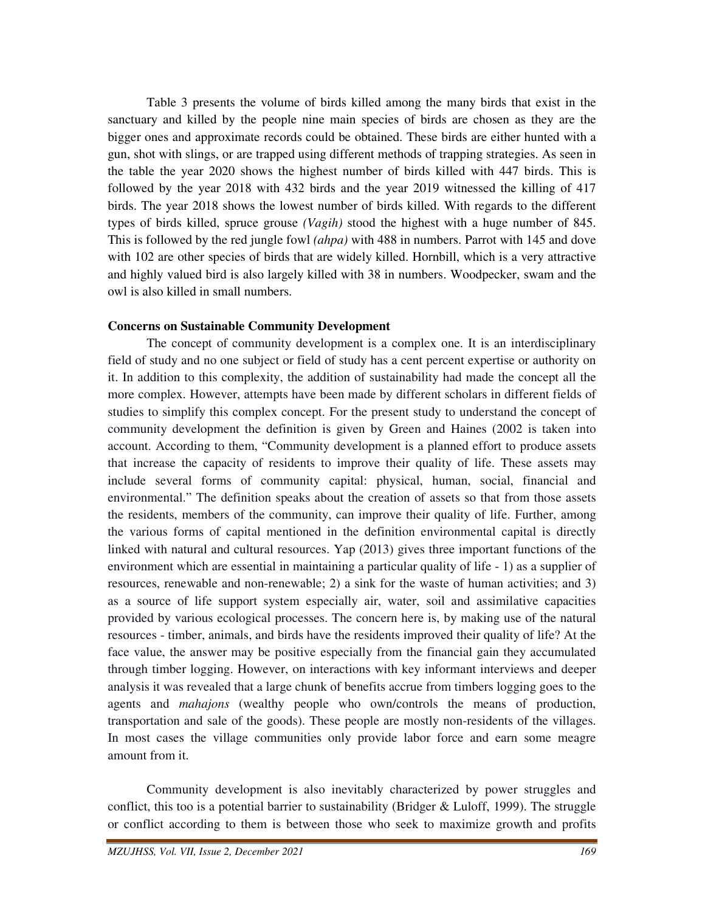Table 3 presents the volume of birds killed among the many birds that exist in the sanctuary and killed by the people nine main species of birds are chosen as they are the bigger ones and approximate records could be obtained. These birds are either hunted with a gun, shot with slings, or are trapped using different methods of trapping strategies. As seen in the table the year 2020 shows the highest number of birds killed with 447 birds. This is followed by the year 2018 with 432 birds and the year 2019 witnessed the killing of 417 birds. The year 2018 shows the lowest number of birds killed. With regards to the different types of birds killed, spruce grouse *(Vagih)* stood the highest with a huge number of 845. This is followed by the red jungle fowl *(ahpa)* with 488 in numbers. Parrot with 145 and dove with 102 are other species of birds that are widely killed. Hornbill, which is a very attractive and highly valued bird is also largely killed with 38 in numbers. Woodpecker, swam and the owl is also killed in small numbers.

#### **Concerns on Sustainable Community Development**

 The concept of community development is a complex one. It is an interdisciplinary field of study and no one subject or field of study has a cent percent expertise or authority on it. In addition to this complexity, the addition of sustainability had made the concept all the more complex. However, attempts have been made by different scholars in different fields of studies to simplify this complex concept. For the present study to understand the concept of community development the definition is given by Green and Haines (2002 is taken into account. According to them, "Community development is a planned effort to produce assets that increase the capacity of residents to improve their quality of life. These assets may include several forms of community capital: physical, human, social, financial and environmental." The definition speaks about the creation of assets so that from those assets the residents, members of the community, can improve their quality of life. Further, among the various forms of capital mentioned in the definition environmental capital is directly linked with natural and cultural resources. Yap (2013) gives three important functions of the environment which are essential in maintaining a particular quality of life - 1) as a supplier of resources, renewable and non-renewable; 2) a sink for the waste of human activities; and 3) as a source of life support system especially air, water, soil and assimilative capacities provided by various ecological processes. The concern here is, by making use of the natural resources - timber, animals, and birds have the residents improved their quality of life? At the face value, the answer may be positive especially from the financial gain they accumulated through timber logging. However, on interactions with key informant interviews and deeper analysis it was revealed that a large chunk of benefits accrue from timbers logging goes to the agents and *mahajons* (wealthy people who own/controls the means of production, transportation and sale of the goods). These people are mostly non-residents of the villages. In most cases the village communities only provide labor force and earn some meagre amount from it.

 Community development is also inevitably characterized by power struggles and conflict, this too is a potential barrier to sustainability (Bridger & Luloff, 1999). The struggle or conflict according to them is between those who seek to maximize growth and profits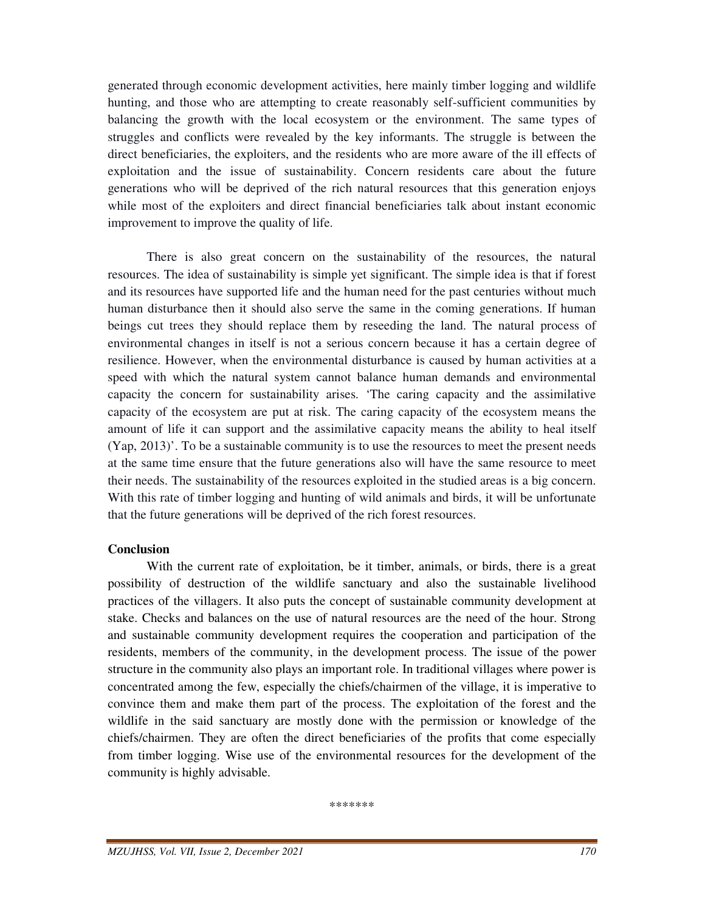generated through economic development activities, here mainly timber logging and wildlife hunting, and those who are attempting to create reasonably self-sufficient communities by balancing the growth with the local ecosystem or the environment. The same types of struggles and conflicts were revealed by the key informants. The struggle is between the direct beneficiaries, the exploiters, and the residents who are more aware of the ill effects of exploitation and the issue of sustainability. Concern residents care about the future generations who will be deprived of the rich natural resources that this generation enjoys while most of the exploiters and direct financial beneficiaries talk about instant economic improvement to improve the quality of life.

 There is also great concern on the sustainability of the resources, the natural resources. The idea of sustainability is simple yet significant. The simple idea is that if forest and its resources have supported life and the human need for the past centuries without much human disturbance then it should also serve the same in the coming generations. If human beings cut trees they should replace them by reseeding the land. The natural process of environmental changes in itself is not a serious concern because it has a certain degree of resilience. However, when the environmental disturbance is caused by human activities at a speed with which the natural system cannot balance human demands and environmental capacity the concern for sustainability arises. 'The caring capacity and the assimilative capacity of the ecosystem are put at risk. The caring capacity of the ecosystem means the amount of life it can support and the assimilative capacity means the ability to heal itself (Yap, 2013)'. To be a sustainable community is to use the resources to meet the present needs at the same time ensure that the future generations also will have the same resource to meet their needs. The sustainability of the resources exploited in the studied areas is a big concern. With this rate of timber logging and hunting of wild animals and birds, it will be unfortunate that the future generations will be deprived of the rich forest resources.

## **Conclusion**

With the current rate of exploitation, be it timber, animals, or birds, there is a great possibility of destruction of the wildlife sanctuary and also the sustainable livelihood practices of the villagers. It also puts the concept of sustainable community development at stake. Checks and balances on the use of natural resources are the need of the hour. Strong and sustainable community development requires the cooperation and participation of the residents, members of the community, in the development process. The issue of the power structure in the community also plays an important role. In traditional villages where power is concentrated among the few, especially the chiefs/chairmen of the village, it is imperative to convince them and make them part of the process. The exploitation of the forest and the wildlife in the said sanctuary are mostly done with the permission or knowledge of the chiefs/chairmen. They are often the direct beneficiaries of the profits that come especially from timber logging. Wise use of the environmental resources for the development of the community is highly advisable.

\*\*\*\*\*\*\*